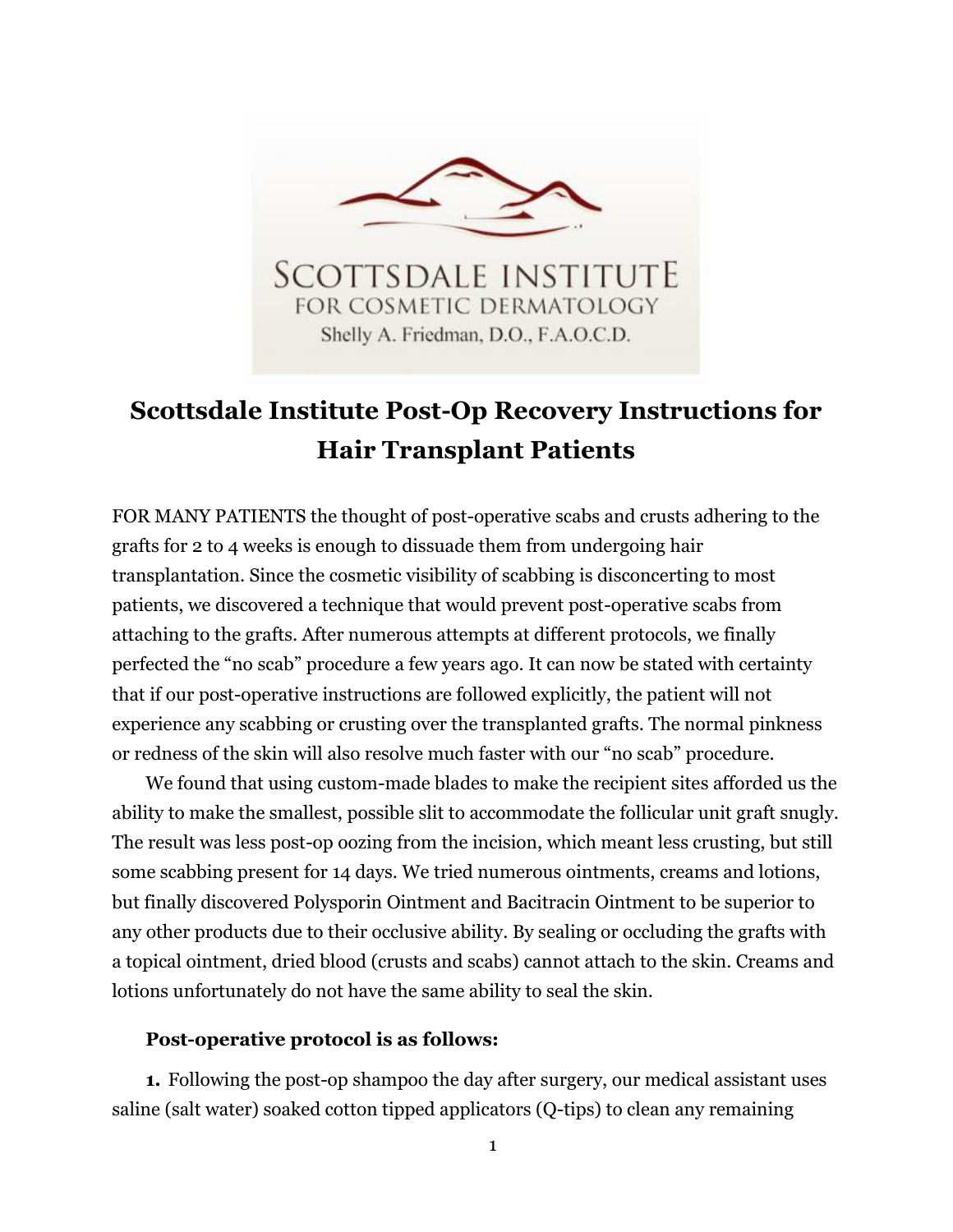

## **Scottsdale Institute Post-Op Recovery Instructions for Hair Transplant Patients**

FOR MANY PATIENTS the thought of post-operative scabs and crusts adhering to the grafts for 2 to 4 weeks is enough to dissuade them from undergoing hair transplantation. Since the cosmetic visibility of scabbing is disconcerting to most patients, we discovered a technique that would prevent post-operative scabs from attaching to the grafts. After numerous attempts at different protocols, we finally perfected the "no scab" procedure a few years ago. It can now be stated with certainty that if our post-operative instructions are followed explicitly, the patient will not experience any scabbing or crusting over the transplanted grafts. The normal pinkness or redness of the skin will also resolve much faster with our "no scab" procedure.

We found that using custom-made blades to make the recipient sites afforded us the ability to make the smallest, possible slit to accommodate the follicular unit graft snugly. The result was less post-op oozing from the incision, which meant less crusting, but still some scabbing present for 14 days. We tried numerous ointments, creams and lotions, but finally discovered Polysporin Ointment and Bacitracin Ointment to be superior to any other products due to their occlusive ability. By sealing or occluding the grafts with a topical ointment, dried blood (crusts and scabs) cannot attach to the skin. Creams and lotions unfortunately do not have the same ability to seal the skin.

## **Post-operative protocol is as follows:**

**1.** Following the post-op shampoo the day after surgery, our medical assistant uses saline (salt water) soaked cotton tipped applicators (Q-tips) to clean any remaining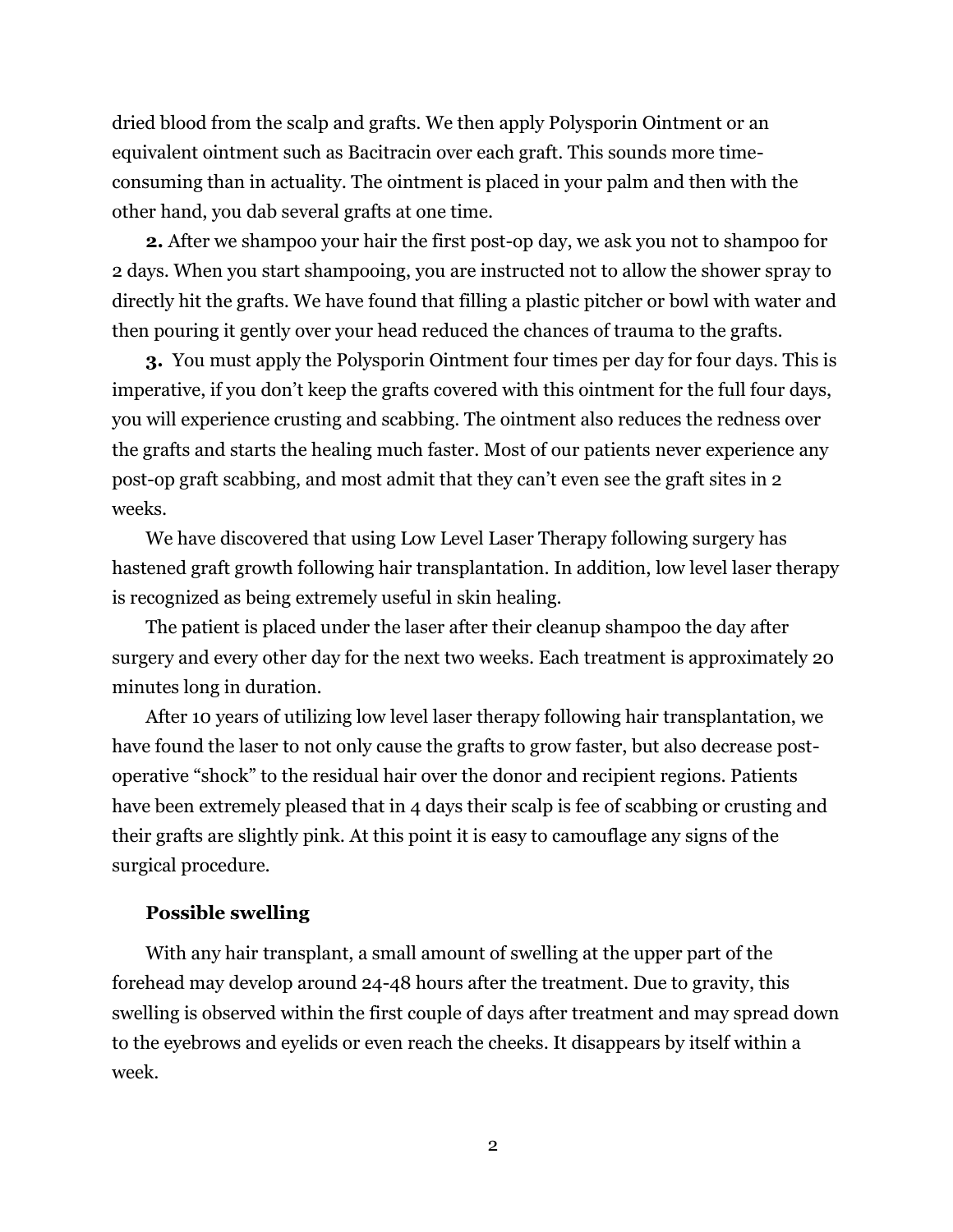dried blood from the scalp and grafts. We then apply Polysporin Ointment or an equivalent ointment such as Bacitracin over each graft. This sounds more timeconsuming than in actuality. The ointment is placed in your palm and then with the other hand, you dab several grafts at one time.

**2.** After we shampoo your hair the first post-op day, we ask you not to shampoo for 2 days. When you start shampooing, you are instructed not to allow the shower spray to directly hit the grafts. We have found that filling a plastic pitcher or bowl with water and then pouring it gently over your head reduced the chances of trauma to the grafts.

**3.** You must apply the Polysporin Ointment four times per day for four days. This is imperative, if you don't keep the grafts covered with this ointment for the full four days, you will experience crusting and scabbing. The ointment also reduces the redness over the grafts and starts the healing much faster. Most of our patients never experience any post-op graft scabbing, and most admit that they can't even see the graft sites in 2 weeks.

We have discovered that using Low Level Laser Therapy following surgery has hastened graft growth following hair transplantation. In addition, low level laser therapy is recognized as being extremely useful in skin healing.

The patient is placed under the laser after their cleanup shampoo the day after surgery and every other day for the next two weeks. Each treatment is approximately 20 minutes long in duration.

After 10 years of utilizing low level laser therapy following hair transplantation, we have found the laser to not only cause the grafts to grow faster, but also decrease postoperative "shock" to the residual hair over the donor and recipient regions. Patients have been extremely pleased that in 4 days their scalp is fee of scabbing or crusting and their grafts are slightly pink. At this point it is easy to camouflage any signs of the surgical procedure.

## **Possible swelling**

With any hair transplant, a small amount of swelling at the upper part of the forehead may develop around 24-48 hours after the treatment. Due to gravity, this swelling is observed within the first couple of days after treatment and may spread down to the eyebrows and eyelids or even reach the cheeks. It disappears by itself within a week.